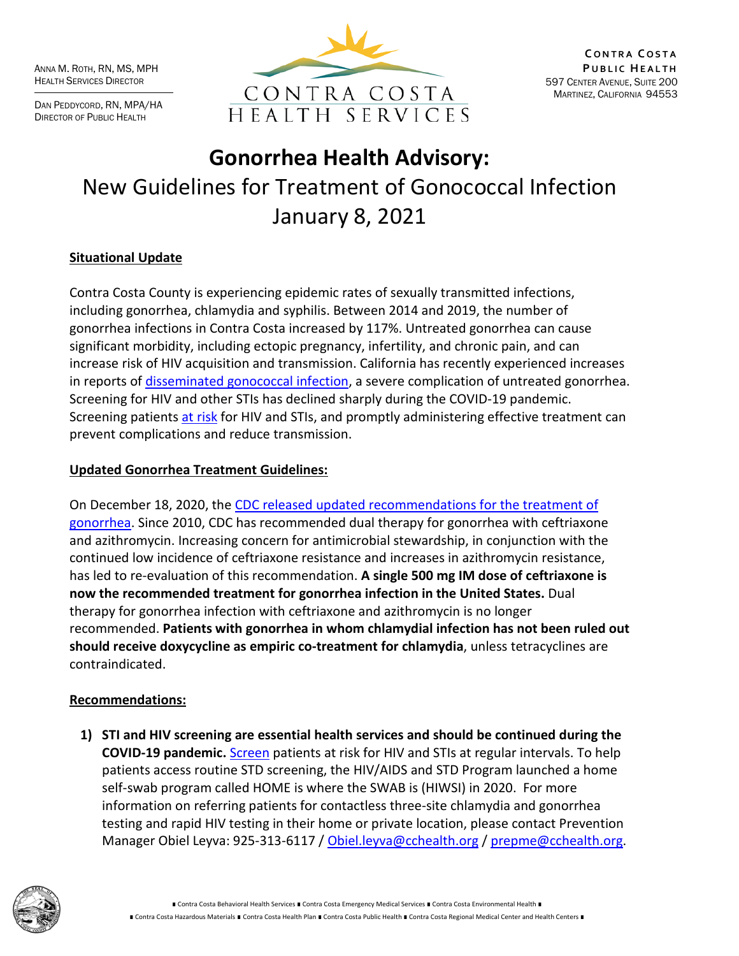ANNA M. ROTH, RN, MS, MPH HEALTH SERVICES DIRECTOR

DAN PEDDYCORD, RN, MPA/HA DIRECTOR OF PUBLIC HEALTH



# **Gonorrhea Health Advisory:** New Guidelines for Treatment of Gonococcal Infection January 8, 2021

# **Situational Update**

Contra Costa County is experiencing epidemic rates of sexually transmitted infections, including gonorrhea, chlamydia and syphilis. Between 2014 and 2019, the number of gonorrhea infections in Contra Costa increased by 117%. Untreated gonorrhea can cause significant morbidity, including ectopic pregnancy, infertility, and chronic pain, and can increase risk of HIV acquisition and transmission. California has recently experienced increases in reports of [disseminated gonococcal infection,](https://www.cdph.ca.gov/Programs/CID/DCDC/CDPH%20Document%20Library/Dear-Colleague-Letter-Increasing-DGI-in-CA_11-5-20.pdf) a severe complication of untreated gonorrhea. Screening for HIV and other STIs has declined sharply during the COVID-19 pandemic. Screening patients [at risk](https://www.cdph.ca.gov/Programs/CID/DCDC/CDPH%20Document%20Library/CA_STD-Screening-Recs.pdf) for HIV and STIs, and promptly administering effective treatment can prevent complications and reduce transmission.

#### **Updated Gonorrhea Treatment Guidelines:**

On December 18, 2020, the [CDC released updated recommendations for the treatment of](https://www.cdc.gov/mmwr/volumes/69/wr/mm6950a6.htm) [gonorrhea.](https://www.cdc.gov/mmwr/volumes/69/wr/mm6950a6.htm) Since 2010, CDC has recommended dual therapy for gonorrhea with ceftriaxone and azithromycin. Increasing concern for antimicrobial stewardship, in conjunction with the continued low incidence of ceftriaxone resistance and increases in azithromycin resistance, has led to re-evaluation of this recommendation. **A single 500 mg IM dose of ceftriaxone is now the recommended treatment for gonorrhea infection in the United States.** Dual therapy for gonorrhea infection with ceftriaxone and azithromycin is no longer recommended. **Patients with gonorrhea in whom chlamydial infection has not been ruled out should receive doxycycline as empiric co-treatment for chlamydia**, unless tetracyclines are contraindicated.

### **Recommendations:**

**1) STI and HIV screening are essential health services and should be continued during the COVID-19 pandemic.** [Screen](https://www.cdph.ca.gov/Programs/CID/DCDC/CDPH%20Document%20Library/CA_STD-Screening-Recs.pdf) patients at risk for HIV and STIs at regular intervals. To help patients access routine STD screening, the HIV/AIDS and STD Program launched a home self-swab program called HOME is where the SWAB is (HIWSI) in 2020. For more information on referring patients for contactless three-site chlamydia and gonorrhea testing and rapid HIV testing in their home or private location, please contact Prevention Manager Obiel Leyva: 925-313-6117 / [Obiel.leyva@cchealth.org](mailto:Obiel.leyva@cchealth.org) / [prepme@cchealth.org.](mailto:prepme@cchealth.org)



∎ Contra Costa Behavioral Health Services ∎ Contra Costa Emergency Medical Services ∎ Contra Costa Environmental Health ∎ ∎ Contra Costa Hazardous Materials ∎ Contra Costa Health Plan ∎ Contra Costa Public Health ∎ Contra Costa Regional Medical Center and Health Centers ∎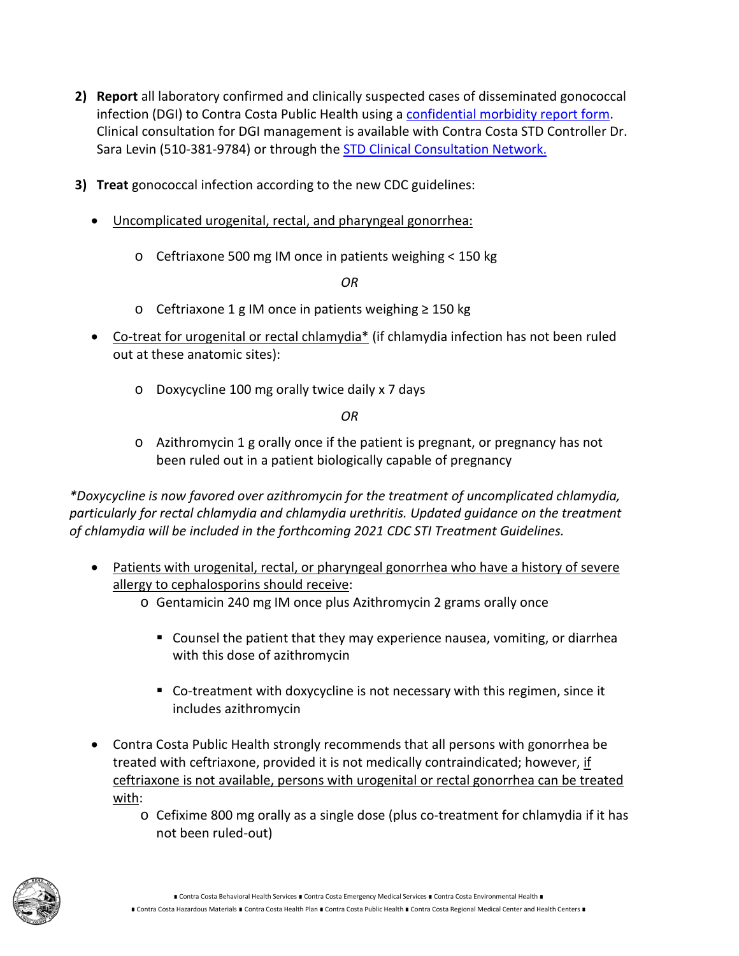- **2) Report** all laboratory confirmed and clinically suspected cases of disseminated gonococcal infection (DGI) to Contra Costa Public Health using [a confidential morbidity report form.](https://cchealth.org/cd/pdf/cmr_std_110a.pdf) Clinical consultation for DGI management is available with Contra Costa STD Controller Dr. Sara Levin (510-381-9784) or through the **STD Clinical Consultation Network.**
- **3) Treat** gonococcal infection according to the new CDC guidelines:
	- Uncomplicated urogenital, rectal, and pharyngeal gonorrhea:
		- o Ceftriaxone 500 mg IM once in patients weighing < 150 kg

*OR*

- o Ceftriaxone 1 g IM once in patients weighing ≥ 150 kg
- Co-treat for urogenital or rectal chlamydia\* (if chlamydia infection has not been ruled out at these anatomic sites):
	- o Doxycycline 100 mg orally twice daily x 7 days

*OR*

o Azithromycin 1 g orally once if the patient is pregnant, or pregnancy has not been ruled out in a patient biologically capable of pregnancy

*\*Doxycycline is now favored over azithromycin for the treatment of uncomplicated chlamydia, particularly for rectal chlamydia and chlamydia urethritis. Updated guidance on the treatment of chlamydia will be included in the forthcoming 2021 CDC STI Treatment Guidelines.*

- Patients with urogenital, rectal, or pharyngeal gonorrhea who have a history of severe allergy to cephalosporins should receive:
	- o Gentamicin 240 mg IM once plus Azithromycin 2 grams orally once
		- Counsel the patient that they may experience nausea, vomiting, or diarrhea with this dose of azithromycin
		- Co-treatment with doxycycline is not necessary with this regimen, since it includes azithromycin
- Contra Costa Public Health strongly recommends that all persons with gonorrhea be treated with ceftriaxone, provided it is not medically contraindicated; however, if ceftriaxone is not available, persons with urogenital or rectal gonorrhea can be treated with:
	- o Cefixime 800 mg orally as a single dose (plus co-treatment for chlamydia if it has not been ruled-out)